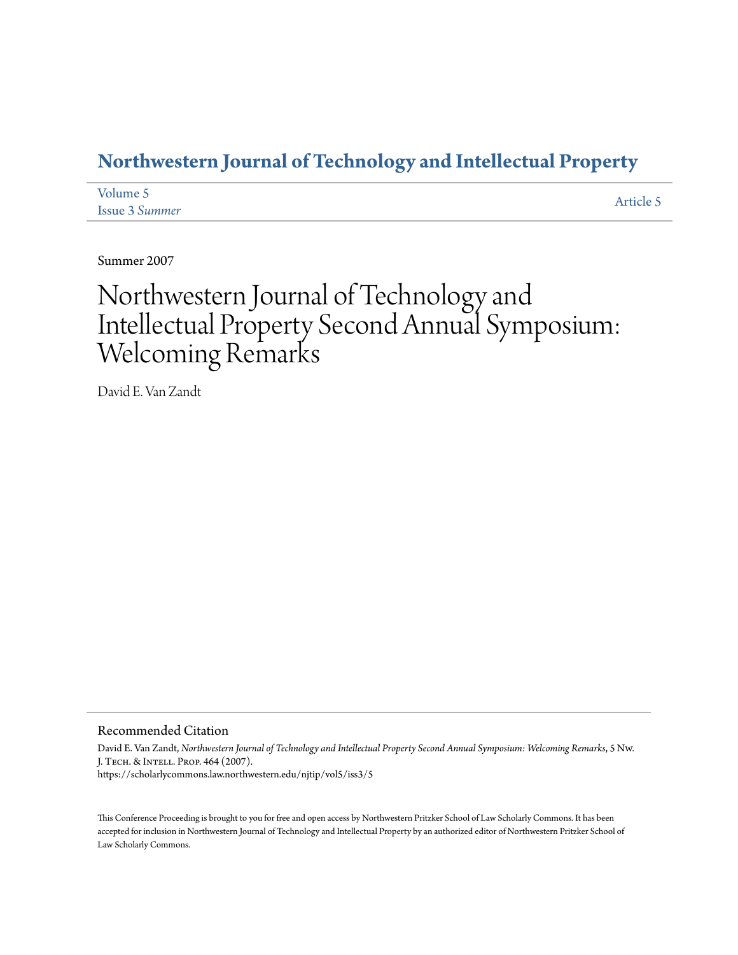### **[Northwestern Journal of Technology and Intellectual Property](https://scholarlycommons.law.northwestern.edu/njtip)**

| Volume 5       | Article 5 |
|----------------|-----------|
| Issue 3 Summer |           |

Summer 2007

# Northwestern Journal of Technology and Intellectual Property Second Annual Symposium: Welcoming Remarks

David E. Van Zandt

#### Recommended Citation

David E. Van Zandt, *Northwestern Journal of Technology and Intellectual Property Second Annual Symposium: Welcoming Remarks*, 5 Nw. J. Tech. & Intell. Prop. 464 (2007). https://scholarlycommons.law.northwestern.edu/njtip/vol5/iss3/5

This Conference Proceeding is brought to you for free and open access by Northwestern Pritzker School of Law Scholarly Commons. It has been accepted for inclusion in Northwestern Journal of Technology and Intellectual Property by an authorized editor of Northwestern Pritzker School of Law Scholarly Commons.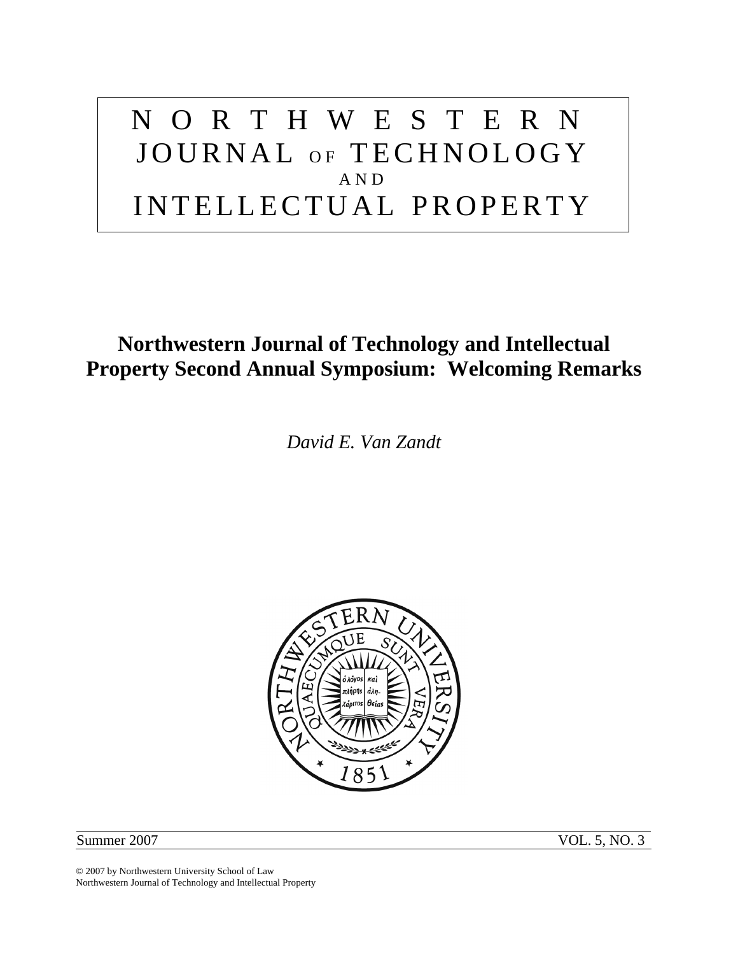# NORTHWESTERN JOURNAL OF TECHNOLOGY AND INTELLECTUAL PROPERTY

## **Northwestern Journal of Technology and Intellectual Property Second Annual Symposium: Welcoming Remarks**

*David E. Van Zandt* 



Summer 2007 VOL. 5, NO. 3

© 2007 by Northwestern University School of Law Northwestern Journal of Technology and Intellectual Property